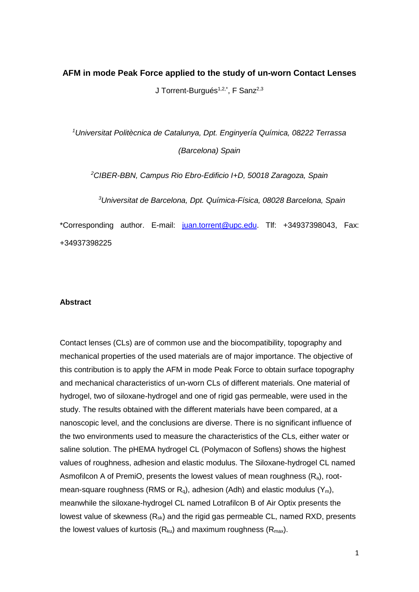# **AFM in mode Peak Force applied to the study of un-worn Contact Lenses**

J Torrent-Burgués<sup>1,2,\*</sup>, F Sanz<sup>2,3</sup>

*1 Universitat Politècnica de Catalunya, Dpt. Enginyería Química, 08222 Terrassa (Barcelona) Spain*

*2 CIBER-BBN, Campus Rio Ebro-Edificio I+D, 50018 Zaragoza, Spain*

*3 Universitat de Barcelona, Dpt. Química-Física, 08028 Barcelona, Spain*

\*Corresponding author. E-mail: [juan.torrent@upc.edu.](mailto:juan.torrent@upc.edu) Tlf: +34937398043, Fax: +34937398225

#### **Abstract**

Contact lenses (CLs) are of common use and the biocompatibility, topography and mechanical properties of the used materials are of major importance. The objective of this contribution is to apply the AFM in mode Peak Force to obtain surface topography and mechanical characteristics of un-worn CLs of different materials. One material of hydrogel, two of siloxane-hydrogel and one of rigid gas permeable, were used in the study. The results obtained with the different materials have been compared, at a nanoscopic level, and the conclusions are diverse. There is no significant influence of the two environments used to measure the characteristics of the CLs, either water or saline solution. The pHEMA hydrogel CL (Polymacon of Soflens) shows the highest values of roughness, adhesion and elastic modulus. The Siloxane-hydrogel CL named Asmofilcon A of PremiO, presents the lowest values of mean roughness  $(R_a)$ , rootmean-square roughness (RMS or  $R_q$ ), adhesion (Adh) and elastic modulus  $(Y_m)$ , meanwhile the siloxane-hydrogel CL named Lotrafilcon B of Air Optix presents the lowest value of skewness  $(R_{sk})$  and the rigid gas permeable CL, named RXD, presents the lowest values of kurtosis  $(R_{ku})$  and maximum roughness  $(R_{max})$ .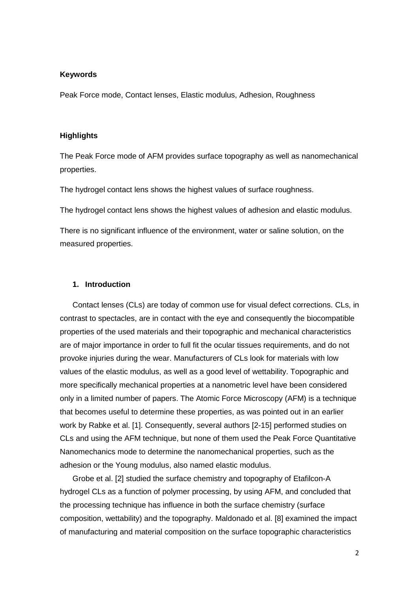#### **Keywords**

Peak Force mode, Contact lenses, Elastic modulus, Adhesion, Roughness

### **Highlights**

The Peak Force mode of AFM provides surface topography as well as nanomechanical properties.

The hydrogel contact lens shows the highest values of surface roughness.

The hydrogel contact lens shows the highest values of adhesion and elastic modulus.

There is no significant influence of the environment, water or saline solution, on the measured properties.

### **1. Introduction**

Contact lenses (CLs) are today of common use for visual defect corrections. CLs, in contrast to spectacles, are in contact with the eye and consequently the biocompatible properties of the used materials and their topographic and mechanical characteristics are of major importance in order to full fit the ocular tissues requirements, and do not provoke injuries during the wear. Manufacturers of CLs look for materials with low values of the elastic modulus, as well as a good level of wettability. Topographic and more specifically mechanical properties at a nanometric level have been considered only in a limited number of papers. The Atomic Force Microscopy (AFM) is a technique that becomes useful to determine these properties, as was pointed out in an earlier work by Rabke et al. [1]. Consequently, several authors [2-15] performed studies on CLs and using the AFM technique, but none of them used the Peak Force Quantitative Nanomechanics mode to determine the nanomechanical properties, such as the adhesion or the Young modulus, also named elastic modulus.

Grobe et al. [2] studied the surface chemistry and topography of Etafilcon-A hydrogel CLs as a function of polymer processing, by using AFM, and concluded that the processing technique has influence in both the surface chemistry (surface composition, wettability) and the topography. Maldonado et al. [8] examined the impact of manufacturing and material composition on the surface topographic characteristics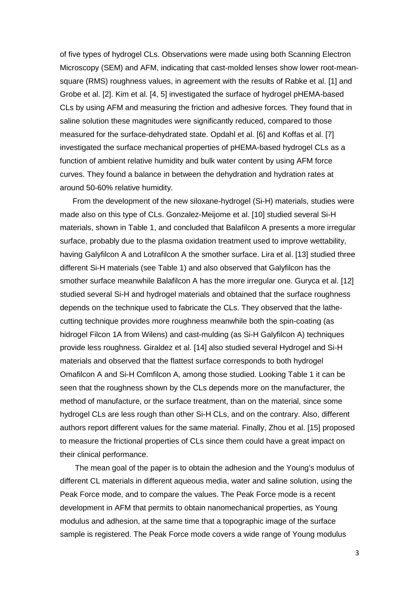of five types of hydrogel CLs. Observations were made using both Scanning Electron Microscopy (SEM) and AFM, indicating that cast-molded lenses show lower root-meansquare (RMS) roughness values, in agreement with the results of Rabke et al. [1] and Grobe et al. [2]. Kim et al. [4, 5] investigated the surface of hydrogel pHEMA-based CLs by using AFM and measuring the friction and adhesive forces. They found that in saline solution these magnitudes were significantly reduced, compared to those measured for the surface-dehydrated state. Opdahl et al. [6] and Koffas et al. [7] investigated the surface mechanical properties of pHEMA-based hydrogel CLs as a function of ambient relative humidity and bulk water content by using AFM force curves. They found a balance in between the dehydration and hydration rates at around 50-60% relative humidity.

From the development of the new siloxane-hydrogel (Si-H) materials, studies were made also on this type of CLs. Gonzalez-Meijome et al. [10] studied several Si-H materials, shown in Table 1, and concluded that Balafilcon A presents a more irregular surface, probably due to the plasma oxidation treatment used to improve wettability, having Galyfilcon A and Lotrafilcon A the smother surface. Lira et al. [13] studied three different Si-H materials (see Table 1) and also observed that Galyfilcon has the smother surface meanwhile Balafilcon A has the more irregular one. Guryca et al. [12] studied several Si-H and hydrogel materials and obtained that the surface roughness depends on the technique used to fabricate the CLs. They observed that the lathecutting technique provides more roughness meanwhile both the spin-coating (as hidrogel Filcon 1A from Wilens) and cast-mulding (as Si-H Galyfilcon A) techniques provide less roughness. Giraldez et al. [14] also studied several Hydrogel and Si-H materials and observed that the flattest surface corresponds to both hydrogel Omafilcon A and Si-H Comfilcon A, among those studied. Looking Table 1 it can be seen that the roughness shown by the CLs depends more on the manufacturer, the method of manufacture, or the surface treatment, than on the material, since some hydrogel CLs are less rough than other Si-H CLs, and on the contrary. Also, different authors report different values for the same material. Finally, Zhou et al. [15] proposed to measure the frictional properties of CLs since them could have a great impact on their clinical performance.

The mean goal of the paper is to obtain the adhesion and the Young's modulus of different CL materials in different aqueous media, water and saline solution, using the Peak Force mode, and to compare the values. The Peak Force mode is a recent development in AFM that permits to obtain nanomechanical properties, as Young modulus and adhesion, at the same time that a topographic image of the surface sample is registered. The Peak Force mode covers a wide range of Young modulus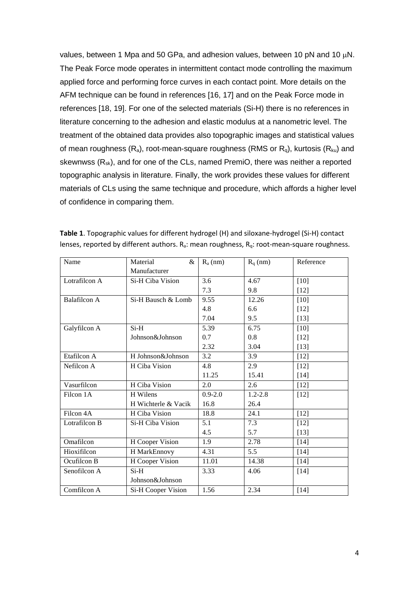values, between 1 Mpa and 50 GPa, and adhesion values, between 10 pN and 10  $\mu$ N. The Peak Force mode operates in intermittent contact mode controlling the maximum applied force and performing force curves in each contact point. More details on the AFM technique can be found in references [16, 17] and on the Peak Force mode in references [18, 19]. For one of the selected materials (Si-H) there is no references in literature concerning to the adhesion and elastic modulus at a nanometric level. The treatment of the obtained data provides also topographic images and statistical values of mean roughness  $(R_a)$ , root-mean-square roughness (RMS or  $R_q$ ), kurtosis ( $R_{ku}$ ) and skewnwss (R<sub>sk</sub>), and for one of the CLs, named PremiO, there was neither a reported topographic analysis in literature. Finally, the work provides these values for different materials of CLs using the same technique and procedure, which affords a higher level of confidence in comparing them.

| Name                   | Material<br>&       | $R_a$ (nm)  | $R_q$ (nm)  | Reference |
|------------------------|---------------------|-------------|-------------|-----------|
|                        | Manufacturer        |             |             |           |
| Lotrafilcon A          | Si-H Ciba Vision    | 3.6         | 4.67        | $[10]$    |
|                        |                     | 7.3         | 9.8         | $[12]$    |
| <b>Balafilcon A</b>    | Si-H Bausch & Lomb  | 9.55        | 12.26       | $[10]$    |
|                        |                     | 4.8         | 6.6         | $[12]$    |
|                        |                     | 7.04        | 9.5         | $[13]$    |
| Galyfilcon A           | $Si-H$              | 5.39        | 6.75        | $[10]$    |
|                        | Johnson&Johnson     | 0.7         | 0.8         | $[12]$    |
|                        |                     | 2.32        | 3.04        | $[13]$    |
| Etafilcon A            | H Johnson&Johnson   | 3.2         | 3.9         | $[12]$    |
| Nefilcon A             | H Ciba Vision       | 4.8         | 2.9         | $[12]$    |
|                        |                     | 11.25       | 15.41       | $[14]$    |
| Vasurfilcon            | H Ciba Vision       | 2.0         | 2.6         | $[12]$    |
| Filcon 1A              | H Wilens            | $0.9 - 2.0$ | $1.2 - 2.8$ | $[12]$    |
|                        | H Wichterle & Vacik | 16.8        | 26.4        |           |
| Filcon 4A              | H Ciba Vision       |             | 24.1        | $[12]$    |
| Lotrafilcon B          | Si-H Ciba Vision    | 5.1         | 7.3         | $[12]$    |
|                        |                     | 4.5         | 5.7         | $[13]$    |
| Omafilcon              | H Cooper Vision     | 1.9         | 2.78        | $[14]$    |
| Hioxifilcon            | H MarkEnnovy        | 4.31        | 5.5         | $[14]$    |
| Ocufilcon B            | H Cooper Vision     | 11.01       | 14.38       | $[14]$    |
| Senofilcon A<br>$Si-H$ |                     | 3.33        | 4.06        | $[14]$    |
|                        | Johnson&Johnson     |             |             |           |
| Comfilcon A            | Si-H Cooper Vision  | 1.56        | 2.34        | $[14]$    |

| Table 1. Topographic values for different hydrogel (H) and siloxane-hydrogel (Si-H) contact                          |
|----------------------------------------------------------------------------------------------------------------------|
| lenses, reported by different authors. R <sub>a</sub> : mean roughness, R <sub>g</sub> : root-mean-square roughness. |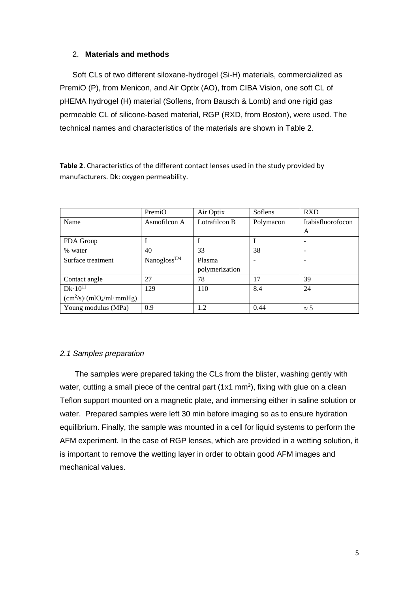## 2. **Materials and methods**

Soft CLs of two different siloxane-hydrogel (Si-H) materials, commercialized as PremiO (P), from Menicon, and Air Optix (AO), from CIBA Vision, one soft CL of pHEMA hydrogel (H) material (Soflens, from Bausch & Lomb) and one rigid gas permeable CL of silicone-based material, RGP (RXD, from Boston), were used. The technical names and characteristics of the materials are shown in Table 2.

|                                 | PremiO                         | Air Optix      | Soflens   | <b>RXD</b>        |
|---------------------------------|--------------------------------|----------------|-----------|-------------------|
| Name                            | Asmofilcon A                   | Lotrafilcon B  | Polymacon | Itabisfluorofocon |
|                                 |                                |                |           | A                 |
| FDA Group                       |                                |                |           |                   |
| % water                         | 40                             | 33             | 38        |                   |
| Surface treatment               | $\text{Nanogloss}^{\text{TM}}$ | Plasma         |           |                   |
|                                 |                                | polymerization |           |                   |
| Contact angle                   | 27                             | 78             | 17        | 39                |
| $Dk \cdot 10^{11}$              | 129                            | 110            | 8.4       | 24                |
| $(cm^2/s)$ · $(mIO_2/mI$ ·mmHg) |                                |                |           |                   |
| Young modulus (MPa)             | 0.9                            | 1.2            | 0.44      | $\approx$ 5       |

**Table 2**. Characteristics of the different contact lenses used in the study provided by manufacturers. Dk: oxygen permeability.

# *2.1 Samples preparation*

The samples were prepared taking the CLs from the blister, washing gently with water, cutting a small piece of the central part (1x1 mm<sup>2</sup>), fixing with glue on a clean Teflon support mounted on a magnetic plate, and immersing either in saline solution or water. Prepared samples were left 30 min before imaging so as to ensure hydration equilibrium. Finally, the sample was mounted in a cell for liquid systems to perform the AFM experiment. In the case of RGP lenses, which are provided in a wetting solution, it is important to remove the wetting layer in order to obtain good AFM images and mechanical values.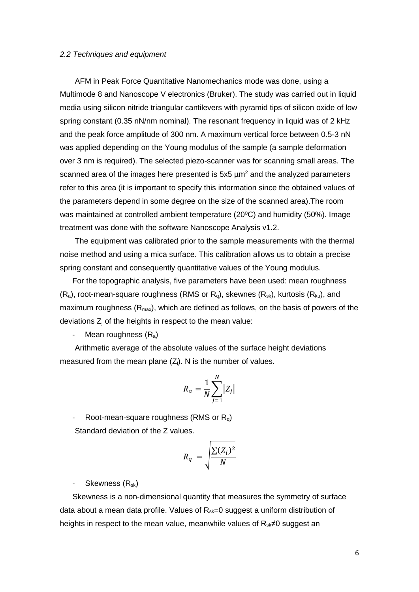#### *2.2 Techniques and equipment*

AFM in Peak Force Quantitative Nanomechanics mode was done, using a Multimode 8 and Nanoscope V electronics (Bruker). The study was carried out in liquid media using silicon nitride triangular cantilevers with pyramid tips of silicon oxide of low spring constant (0.35 nN/nm nominal). The resonant frequency in liquid was of 2 kHz and the peak force amplitude of 300 nm. A maximum vertical force between 0.5-3 nN was applied depending on the Young modulus of the sample (a sample deformation over 3 nm is required). The selected piezo-scanner was for scanning small areas. The scanned area of the images here presented is  $5x5 \mu m^2$  and the analyzed parameters refer to this area (it is important to specify this information since the obtained values of the parameters depend in some degree on the size of the scanned area).The room was maintained at controlled ambient temperature (20ºC) and humidity (50%). Image treatment was done with the software Nanoscope Analysis v1.2.

The equipment was calibrated prior to the sample measurements with the thermal noise method and using a mica surface. This calibration allows us to obtain a precise spring constant and consequently quantitative values of the Young modulus.

For the topographic analysis, five parameters have been used: mean roughness  $(R_a)$ , root-mean-square roughness (RMS or  $R_q$ ), skewnes  $(R_{sk})$ , kurtosis  $(R_{ku})$ , and maximum roughness  $(R<sub>max</sub>)$ , which are defined as follows, on the basis of powers of the deviations  $Z_i$  of the heights in respect to the mean value:

Mean roughness  $(R_a)$ 

Arithmetic average of the absolute values of the surface height deviations measured from the mean plane  $(Z<sub>i</sub>)$ . N is the number of values.

$$
R_a = \frac{1}{N} \sum_{j=1}^{N} |Z_j|
$$

Root-mean-square roughness (RMS or  $R_q$ ) Standard deviation of the Z values.

$$
R_q = \sqrt{\frac{\sum (Z_i)^2}{N}}
$$

- Skewness  $(R_{sk})$ 

Skewness is a non-dimensional quantity that measures the symmetry of surface data about a mean data profile. Values of  $R_{sk}=0$  suggest a uniform distribution of heights in respect to the mean value, meanwhile values of  $R_{sk} \neq 0$  suggest an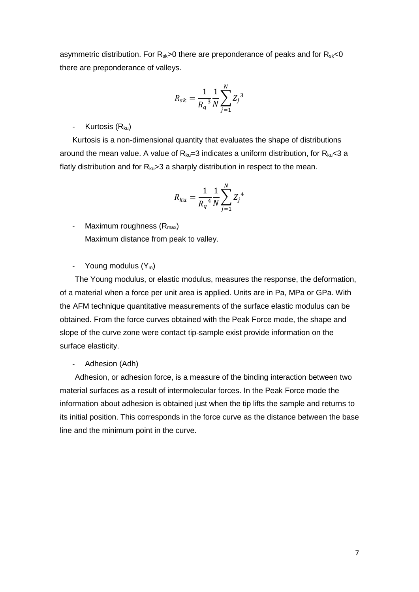asymmetric distribution. For  $R_{sk}$ >0 there are preponderance of peaks and for  $R_{sk}$ <0 there are preponderance of valleys.

$$
R_{sk} = \frac{1}{R_q^3} \frac{1}{N} \sum_{j=1}^{N} Z_j^3
$$

- Kurtosis  $(R_{ku})$ 

Kurtosis is a non-dimensional quantity that evaluates the shape of distributions around the mean value. A value of  $R_{ku}=3$  indicates a uniform distribution, for  $R_{ku}<3$  a flatly distribution and for  $R_{ku}$  > 3 a sharply distribution in respect to the mean.

$$
R_{ku} = \frac{1}{R_q^4} \frac{1}{N} \sum_{j=1}^{N} Z_j^4
$$

Maximum roughness  $(R_{max})$ Maximum distance from peak to valley.

- Young modulus  $(Y_m)$ 

The Young modulus, or elastic modulus, measures the response, the deformation, of a material when a force per unit area is applied. Units are in Pa, MPa or GPa. With the AFM technique quantitative measurements of the surface elastic modulus can be obtained. From the force curves obtained with the Peak Force mode, the shape and slope of the curve zone were contact tip-sample exist provide information on the surface elasticity.

Adhesion (Adh)

Adhesion, or adhesion force, is a measure of the binding interaction between two material surfaces as a result of intermolecular forces. In the Peak Force mode the information about adhesion is obtained just when the tip lifts the sample and returns to its initial position. This corresponds in the force curve as the distance between the base line and the minimum point in the curve.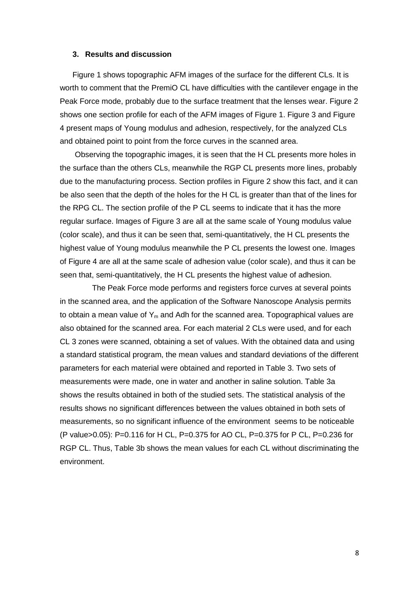#### **3. Results and discussion**

Figure 1 shows topographic AFM images of the surface for the different CLs. It is worth to comment that the PremiO CL have difficulties with the cantilever engage in the Peak Force mode, probably due to the surface treatment that the lenses wear. Figure 2 shows one section profile for each of the AFM images of Figure 1. Figure 3 and Figure 4 present maps of Young modulus and adhesion, respectively, for the analyzed CLs and obtained point to point from the force curves in the scanned area.

Observing the topographic images, it is seen that the H CL presents more holes in the surface than the others CLs, meanwhile the RGP CL presents more lines, probably due to the manufacturing process. Section profiles in Figure 2 show this fact, and it can be also seen that the depth of the holes for the H CL is greater than that of the lines for the RPG CL. The section profile of the P CL seems to indicate that it has the more regular surface. Images of Figure 3 are all at the same scale of Young modulus value (color scale), and thus it can be seen that, semi-quantitatively, the H CL presents the highest value of Young modulus meanwhile the P CL presents the lowest one. Images of Figure 4 are all at the same scale of adhesion value (color scale), and thus it can be seen that, semi-quantitatively, the H CL presents the highest value of adhesion.

The Peak Force mode performs and registers force curves at several points in the scanned area, and the application of the Software Nanoscope Analysis permits to obtain a mean value of  $Y_m$  and Adh for the scanned area. Topographical values are also obtained for the scanned area. For each material 2 CLs were used, and for each CL 3 zones were scanned, obtaining a set of values. With the obtained data and using a standard statistical program, the mean values and standard deviations of the different parameters for each material were obtained and reported in Table 3. Two sets of measurements were made, one in water and another in saline solution. Table 3a shows the results obtained in both of the studied sets. The statistical analysis of the results shows no significant differences between the values obtained in both sets of measurements, so no significant influence of the environment seems to be noticeable (P value>0.05): P=0.116 for H CL, P=0.375 for AO CL, P=0.375 for P CL, P=0.236 for RGP CL. Thus, Table 3b shows the mean values for each CL without discriminating the environment.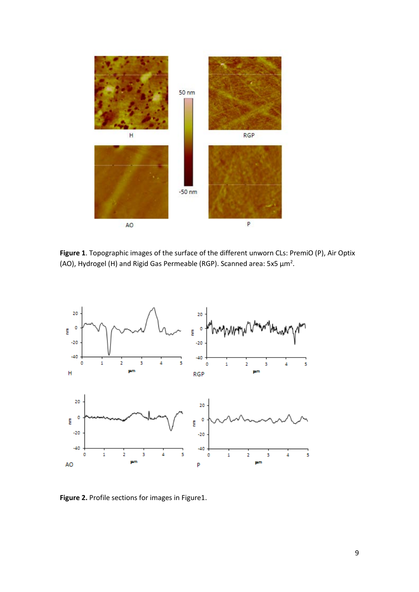

**Figure 1**. Topographic images of the surface of the different unworn CLs: PremiO (P), Air Optix (AO), Hydrogel (H) and Rigid Gas Permeable (RGP). Scanned area: 5x5  $\mu$ m<sup>2</sup>.



**Figure 2.** Profile sections for images in Figure1.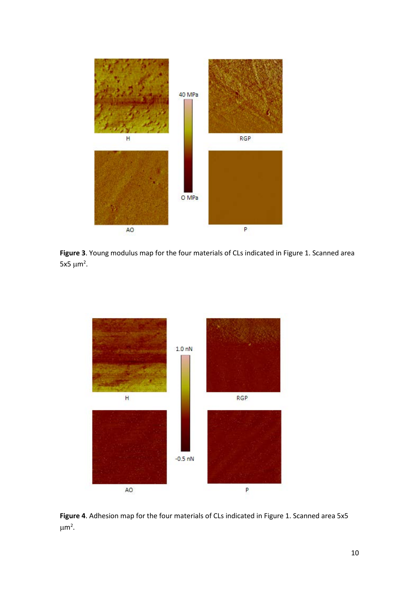

**Figure 3**. Young modulus map for the four materials of CLs indicated in Figure 1. Scanned area 5x5  $\mu$ m<sup>2</sup>.



**Figure 4**. Adhesion map for the four materials of CLs indicated in Figure 1. Scanned area 5x5  $\mu$ m<sup>2</sup>.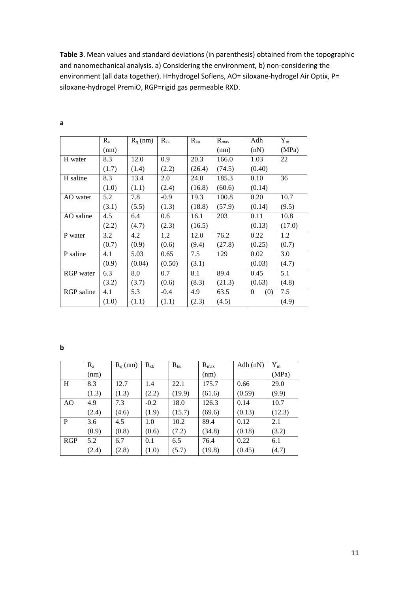**Table 3**. Mean values and standard deviations (in parenthesis) obtained from the topographic and nanomechanical analysis. a) Considering the environment, b) non-considering the environment (all data together). H=hydrogel Soflens, AO= siloxane-hydrogel Air Optix, P= siloxane-hydrogel PremiO, RGP=rigid gas permeable RXD.

|                  | $R_{a}$ | $R_q$ (nm) | $R_{sk}$ | $R_{ku}$ | $R_{max}$ | Adh             | $Y_{m}$ |
|------------------|---------|------------|----------|----------|-----------|-----------------|---------|
|                  | (nm)    |            |          |          | (nm)      | (nN)            | (MPa)   |
| H water          | 8.3     | 12.0       | 0.9      | 20.3     | 166.0     | 1.03            | 22      |
|                  | (1.7)   | (1.4)      | (2.2)    | (26.4)   | (74.5)    | (0.40)          |         |
| H saline         | 8.3     | 13.4       | 2.0      | 24.0     | 185.3     | 0.10            | 36      |
|                  | (1.0)   | (1.1)      | (2.4)    | (16.8)   | (60.6)    | (0.14)          |         |
| AO water         | 5.2     | 7.8        | $-0.9$   | 19.3     | 100.8     | 0.20            | 10.7    |
|                  | (3.1)   | (5.5)      | (1.3)    | (18.8)   | (57.9)    | (0.14)          | (9.5)   |
| AO saline        | 4.5     | 6.4        | 0.6      | 16.1     | 203       | 0.11            | 10.8    |
|                  | (2.2)   | (4.7)      | (2.3)    | (16.5)   |           | (0.13)          | (17.0)  |
| P water          | 3.2     | 4.2        | 1.2      | 12.0     | 76.2      | 0.22            | 1.2     |
|                  | (0.7)   | (0.9)      | (0.6)    | (9.4)    | (27.8)    | (0.25)          | (0.7)   |
| P saline         | 4.1     | 5.03       | 0.65     | 7.5      | 129       | 0.02            | 3.0     |
|                  | (0.9)   | (0.04)     | (0.50)   | (3.1)    |           | (0.03)          | (4.7)   |
| <b>RGP</b> water | 6.3     | 8.0        | 0.7      | 8.1      | 89.4      | 0.45            | 5.1     |
|                  | (3.2)   | (3.7)      | (0.6)    | (8.3)    | (21.3)    | (0.63)          | (4.8)   |
| RGP saline       | 4.1     | 5.3        | $-0.4$   | 4.9      | 63.5      | (0)<br>$\theta$ | 7.5     |
|                  | (1.0)   | (1.1)      | (1.1)    | (2.3)    | (4.5)     |                 | (4.9)   |

**a**

**b**

|     | $R_{a}$ | $R_q$ (nm) | $R_{sk}$ | $R_{ku}$ | $R_{\text{max}}$ | Adh $(nN)$ | $Y_m$  |
|-----|---------|------------|----------|----------|------------------|------------|--------|
|     | (nm)    |            |          |          | (nm)             |            | (MPa)  |
| H   | 8.3     | 12.7       | 1.4      | 22.1     | 175.7            | 0.66       | 29.0   |
|     | (1.3)   | (1.3)      | (2.2)    | (19.9)   | (61.6)           | (0.59)     | (9.9)  |
| AO  | 4.9     | 7.3        | $-0.2$   | 18.0     | 126.3            | 0.14       | 10.7   |
|     | (2.4)   | (4.6)      | (1.9)    | (15.7)   | (69.6)           | (0.13)     | (12.3) |
| P   | 3.6     | 4.5        | 1.0      | 10.2     | 89.4             | 0.12       | 2.1    |
|     | (0.9)   | (0.8)      | (0.6)    | (7.2)    | (34.8)           | (0.18)     | (3.2)  |
| RGP | 5.2     | 6.7        | 0.1      | 6.5      | 76.4             | 0.22       | 6.1    |
|     | (2.4)   | (2.8)      | (1.0)    | (5.7)    | (19.8)           | (0.45)     | (4.7)  |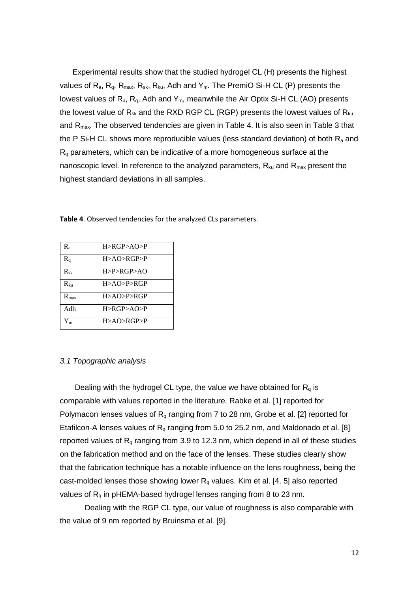Experimental results show that the studied hydrogel CL (H) presents the highest values of  $R_a$ ,  $R_q$ ,  $R_{max}$ ,  $R_{sk}$ ,  $R_{ku}$ , Adh and  $Y_m$ . The PremiO Si-H CL (P) presents the lowest values of  $R_a$ ,  $R_a$ , Adh and  $Y_m$ , meanwhile the Air Optix Si-H CL (AO) presents the lowest value of  $R_{sk}$  and the RXD RGP CL (RGP) presents the lowest values of  $R_{ku}$ and R<sub>max</sub>. The observed tendencies are given in Table 4. It is also seen in Table 3 that the P Si-H CL shows more reproducible values (less standard deviation) of both  $R_a$  and Rq parameters, which can be indicative of a more homogeneous surface at the nanoscopic level. In reference to the analyzed parameters,  $R_{k_1}$  and  $R_{max}$  present the highest standard deviations in all samples.

| R,               | H > RGP > AO > P |
|------------------|------------------|
| $\rm R_q$        | H > AO > RGP > P |
| $R_{sk}$         | H > P > RGP > AO |
| $R_{kn}$         | H > AO > P > RGP |
| $R_{\text{max}}$ | H > AO > P > RGP |
| Adh              | H>RGP>AO>P       |
| $Y_m$            | H > AO > RGP > P |

**Table 4**. Observed tendencies for the analyzed CLs parameters.

#### *3.1 Topographic analysis*

Dealing with the hydrogel CL type, the value we have obtained for  $R<sub>q</sub>$  is comparable with values reported in the literature. Rabke et al. [1] reported for Polymacon lenses values of  $R_q$  ranging from 7 to 28 nm, Grobe et al. [2] reported for Etafilcon-A lenses values of  $R_q$  ranging from 5.0 to 25.2 nm, and Maldonado et al. [8] reported values of  $R_q$  ranging from 3.9 to 12.3 nm, which depend in all of these studies on the fabrication method and on the face of the lenses. These studies clearly show that the fabrication technique has a notable influence on the lens roughness, being the cast-molded lenses those showing lower  $R<sub>q</sub>$  values. Kim et al. [4, 5] also reported values of  $R_q$  in pHEMA-based hydrogel lenses ranging from 8 to 23 nm.

Dealing with the RGP CL type, our value of roughness is also comparable with the value of 9 nm reported by Bruinsma et al. [9].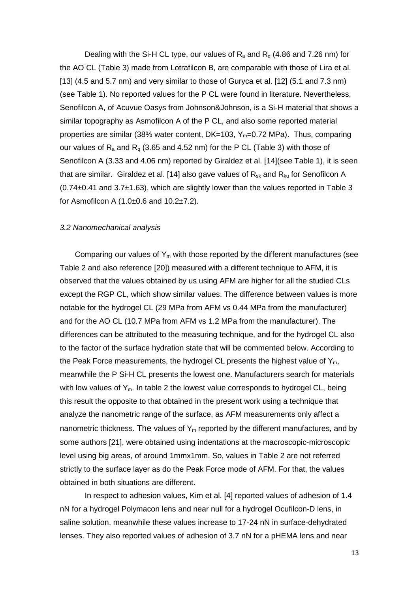Dealing with the Si-H CL type, our values of  $R_a$  and  $R_q$  (4.86 and 7.26 nm) for the AO CL (Table 3) made from Lotrafilcon B, are comparable with those of Lira et al. [13] (4.5 and 5.7 nm) and very similar to those of Guryca et al. [12] (5.1 and 7.3 nm) (see Table 1). No reported values for the P CL were found in literature. Nevertheless, Senofilcon A, of Acuvue Oasys from Johnson&Johnson, is a Si-H material that shows a similar topography as Asmofilcon A of the P CL, and also some reported material properties are similar (38% water content, DK=103, Y<sub>m</sub>=0.72 MPa). Thus, comparing our values of  $R_a$  and  $R_q$  (3.65 and 4.52 nm) for the P CL (Table 3) with those of Senofilcon A (3.33 and 4.06 nm) reported by Giraldez et al. [14](see Table 1), it is seen that are similar. Giraldez et al. [14] also gave values of  $R_{sk}$  and  $R_{ku}$  for Senofilcon A  $(0.74\pm0.41$  and 3.7 $\pm$ 1.63), which are slightly lower than the values reported in Table 3 for Asmofilcon A  $(1.0\pm0.6$  and  $10.2\pm7.2)$ .

## *3.2 Nanomechanical analysis*

Comparing our values of  $Y_m$  with those reported by the different manufactures (see Table 2 and also reference [20]) measured with a different technique to AFM, it is observed that the values obtained by us using AFM are higher for all the studied CLs except the RGP CL, which show similar values. The difference between values is more notable for the hydrogel CL (29 MPa from AFM vs 0.44 MPa from the manufacturer) and for the AO CL (10.7 MPa from AFM vs 1.2 MPa from the manufacturer). The differences can be attributed to the measuring technique, and for the hydrogel CL also to the factor of the surface hydration state that will be commented below. According to the Peak Force measurements, the hydrogel CL presents the highest value of  $Y_{m}$ , meanwhile the P Si-H CL presents the lowest one. Manufacturers search for materials with low values of  $Y_m$ . In table 2 the lowest value corresponds to hydrogel CL, being this result the opposite to that obtained in the present work using a technique that analyze the nanometric range of the surface, as AFM measurements only affect a nanometric thickness. The values of  $Y_m$  reported by the different manufactures, and by some authors [21], were obtained using indentations at the macroscopic-microscopic level using big areas, of around 1mmx1mm. So, values in Table 2 are not referred strictly to the surface layer as do the Peak Force mode of AFM. For that, the values obtained in both situations are different.

In respect to adhesion values, Kim et al. [4] reported values of adhesion of 1.4 nN for a hydrogel Polymacon lens and near null for a hydrogel Ocufilcon-D lens, in saline solution, meanwhile these values increase to 17-24 nN in surface-dehydrated lenses. They also reported values of adhesion of 3.7 nN for a pHEMA lens and near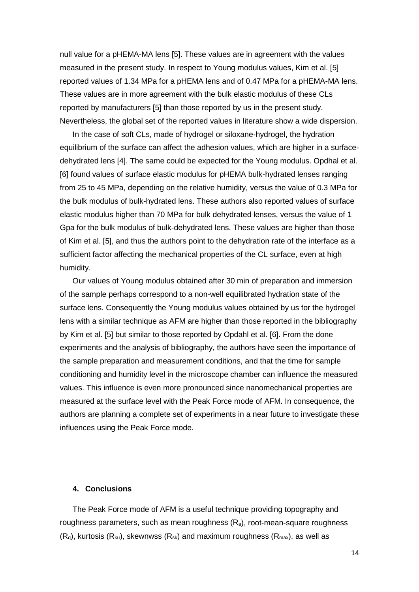null value for a pHEMA-MA lens [5]. These values are in agreement with the values measured in the present study. In respect to Young modulus values, Kim et al. [5] reported values of 1.34 MPa for a pHEMA lens and of 0.47 MPa for a pHEMA-MA lens. These values are in more agreement with the bulk elastic modulus of these CLs reported by manufacturers [5] than those reported by us in the present study. Nevertheless, the global set of the reported values in literature show a wide dispersion.

In the case of soft CLs, made of hydrogel or siloxane-hydrogel, the hydration equilibrium of the surface can affect the adhesion values, which are higher in a surfacedehydrated lens [4]. The same could be expected for the Young modulus. Opdhal et al. [6] found values of surface elastic modulus for pHEMA bulk-hydrated lenses ranging from 25 to 45 MPa, depending on the relative humidity, versus the value of 0.3 MPa for the bulk modulus of bulk-hydrated lens. These authors also reported values of surface elastic modulus higher than 70 MPa for bulk dehydrated lenses, versus the value of 1 Gpa for the bulk modulus of bulk-dehydrated lens. These values are higher than those of Kim et al. [5], and thus the authors point to the dehydration rate of the interface as a sufficient factor affecting the mechanical properties of the CL surface, even at high humidity.

Our values of Young modulus obtained after 30 min of preparation and immersion of the sample perhaps correspond to a non-well equilibrated hydration state of the surface lens. Consequently the Young modulus values obtained by us for the hydrogel lens with a similar technique as AFM are higher than those reported in the bibliography by Kim et al. [5] but similar to those reported by Opdahl et al. [6]. From the done experiments and the analysis of bibliography, the authors have seen the importance of the sample preparation and measurement conditions, and that the time for sample conditioning and humidity level in the microscope chamber can influence the measured values. This influence is even more pronounced since nanomechanical properties are measured at the surface level with the Peak Force mode of AFM. In consequence, the authors are planning a complete set of experiments in a near future to investigate these influences using the Peak Force mode.

### **4. Conclusions**

The Peak Force mode of AFM is a useful technique providing topography and roughness parameters, such as mean roughness  $(R_a)$ , root-mean-square roughness  $(R<sub>0</sub>)$ , kurtosis  $(R<sub>ku</sub>)$ , skewnwss  $(R<sub>sk</sub>)$  and maximum roughness  $(R<sub>max</sub>)$ , as well as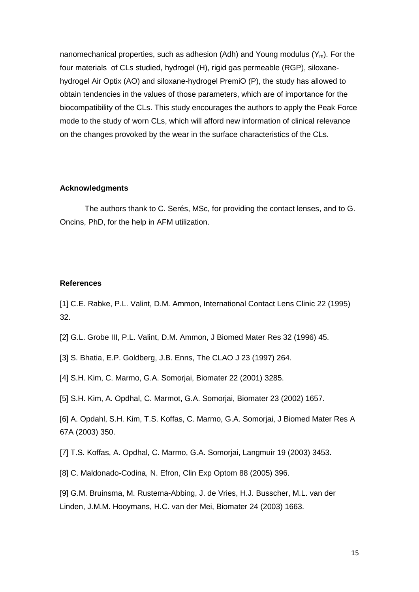nanomechanical properties, such as adhesion (Adh) and Young modulus  $(Y_m)$ . For the four materials of CLs studied, hydrogel (H), rigid gas permeable (RGP), siloxanehydrogel Air Optix (AO) and siloxane-hydrogel PremiO (P), the study has allowed to obtain tendencies in the values of those parameters, which are of importance for the biocompatibility of the CLs. This study encourages the authors to apply the Peak Force mode to the study of worn CLs, which will afford new information of clinical relevance on the changes provoked by the wear in the surface characteristics of the CLs.

#### **Acknowledgments**

The authors thank to C. Serés, MSc, for providing the contact lenses, and to G. Oncins, PhD, for the help in AFM utilization.

### **References**

[1] C.E. Rabke, P.L. Valint, D.M. Ammon, International Contact Lens Clinic 22 (1995) 32.

[2] G.L. Grobe III, P.L. Valint, D.M. Ammon, J Biomed Mater Res 32 (1996) 45.

[3] S. Bhatia, E.P. Goldberg, J.B. Enns, The CLAO J 23 (1997) 264.

[4] S.H. Kim, C. Marmo, G.A. Somorjai, Biomater 22 (2001) 3285.

[5] S.H. Kim, A. Opdhal, C. Marmot, G.A. Somorjai, Biomater 23 (2002) 1657.

[6] A. Opdahl, S.H. Kim, T.S. Koffas, C. Marmo, G.A. Somorjai, J Biomed Mater Res A 67A (2003) 350.

[7] T.S. Koffas, A. Opdhal, C. Marmo, G.A. Somorjai, Langmuir 19 (2003) 3453.

[8] C. Maldonado-Codina, N. Efron, Clin Exp Optom 88 (2005) 396.

[9] G.M. Bruinsma, M. Rustema-Abbing, J. de Vries, H.J. Busscher, M.L. van der Linden, J.M.M. Hooymans, H.C. van der Mei, Biomater 24 (2003) 1663.